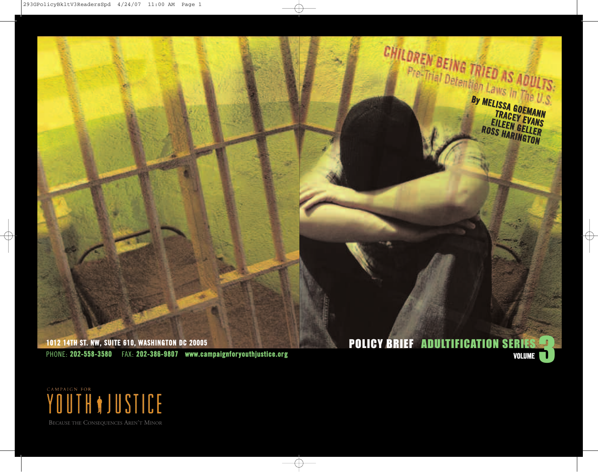

YOUTH ON STICE

BECAUSE THE CONSEQUENCES AREN'T MINOR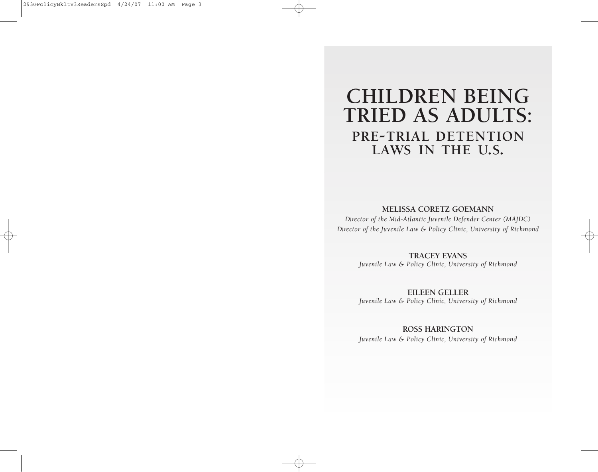# **CHILDREN BEING TRIED AS ADULTS: PRE-TRIAL DETENTION LAWS IN THE U.S.**

## **MELISSA CORETZ GOEMANN**

*Director of the Mid-Atlantic Juvenile Defender Center (MAJDC) Director of the Juvenile Law & Policy Clinic, University of Richmond*

> **TRACEY EVANS** *Juvenile Law & Policy Clinic, University of Richmond*

> **EILEEN GELLER** *Juvenile Law & Policy Clinic, University of Richmond*

> > **ROSS HARINGTON**

*Juvenile Law & Policy Clinic, University of Richmond*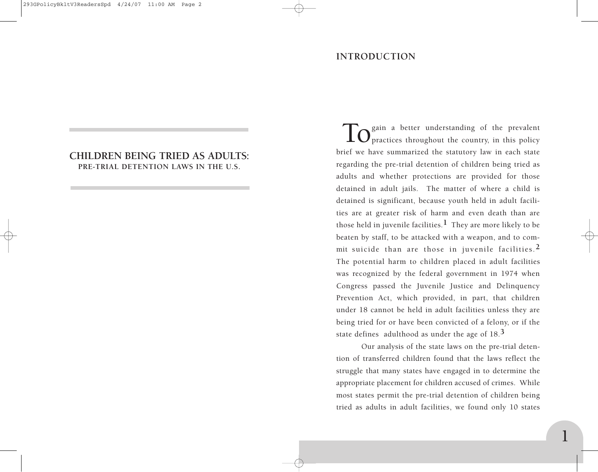# **INTRODUCTION**

# **CHILDREN BEING TRIED AS ADULTS: PRE-TRIAL DETENTION LAWS IN THE U.S.**

**TO** gain a better understanding of the prevalent prevalent the country, in this policy brief we have summarized the statutory law in each state regarding the pre-trial detention of children being tried as adults and whether protections are provided for those detained in adult jails. The matter of where a child is detained is significant, because youth held in adult facilities are at greater risk of harm and even death than are those held in juvenile facilities.**1** They are more likely to be beaten by staff, to be attacked with a weapon, and to commit suicide than are those in juvenile facilities.**2** The potential harm to children placed in adult facilities was recognized by the federal government in 1974 when Congress passed the Juvenile Justice and Delinquency Prevention Act, which provided, in part, that children under 18 cannot be held in adult facilities unless they are being tried for or have been convicted of a felony, or if the state defines adulthood as under the age of 18.**3**

Our analysis of the state laws on the pre-trial detention of transferred children found that the laws reflect the struggle that many states have engaged in to determine the appropriate placement for children accused of crimes. While most states permit the pre-trial detention of children being tried as adults in adult facilities, we found only 10 states

**1**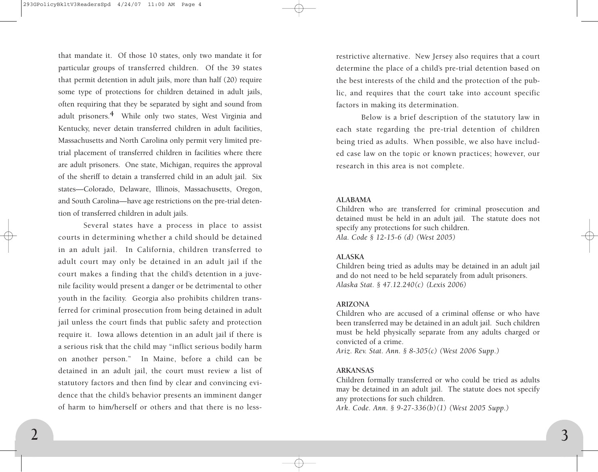that mandate it. Of those 10 states, only two mandate it for particular groups of transferred children. Of the 39 states that permit detention in adult jails, more than half (20) require some type of protections for children detained in adult jails, often requiring that they be separated by sight and sound from adult prisoners.**4** While only two states, West Virginia and Kentucky, never detain transferred children in adult facilities, Massachusetts and North Carolina only permit very limited pretrial placement of transferred children in facilities where there are adult prisoners. One state, Michigan, requires the approval of the sheriff to detain a transferred child in an adult jail. Six states—Colorado, Delaware, Illinois, Massachusetts, Oregon, and South Carolina—have age restrictions on the pre-trial detention of transferred children in adult jails.

Several states have a process in place to assist courts in determining whether a child should be detained in an adult jail. In California, children transferred to adult court may only be detained in an adult jail if the court makes a finding that the child's detention in a juvenile facility would present a danger or be detrimental to other youth in the facility. Georgia also prohibits children transferred for criminal prosecution from being detained in adult jail unless the court finds that public safety and protection require it. Iowa allows detention in an adult jail if there is a serious risk that the child may "inflict serious bodily harm on another person." In Maine, before a child can be detained in an adult jail, the court must review a list of statutory factors and then find by clear and convincing evidence that the child's behavior presents an imminent danger of harm to him/herself or others and that there is no less-

restrictive alternative. New Jersey also requires that a court determine the place of a child's pre-trial detention based on the best interests of the child and the protection of the public, and requires that the court take into account specific factors in making its determination.

Below is a brief description of the statutory law in each state regarding the pre-trial detention of children being tried as adults. When possible, we also have included case law on the topic or known practices; however, our research in this area is not complete.

#### **ALABAMA**

Children who are transferred for criminal prosecution and detained must be held in an adult jail. The statute does not specify any protections for such children. *Ala. Code § 12-15-6 (d) (West 2005)*

# **ALASKA**

Children being tried as adults may be detained in an adult jail and do not need to be held separately from adult prisoners. *Alaska Stat. § 47.12.240(c) (Lexis 2006)*

# **ARIZONA**

Children who are accused of a criminal offense or who have been transferred may be detained in an adult jail. Such children must be held physically separate from any adults charged or convicted of a crime.

*Ariz. Rev. Stat. Ann. § 8-305(c) (West 2006 Supp.)*

#### **ARKANSAS**

Children formally transferred or who could be tried as adults may be detained in an adult jail. The statute does not specify any protections for such children.

*Ark. Code. Ann. § 9-27-336(b)(1) (West 2005 Supp.)*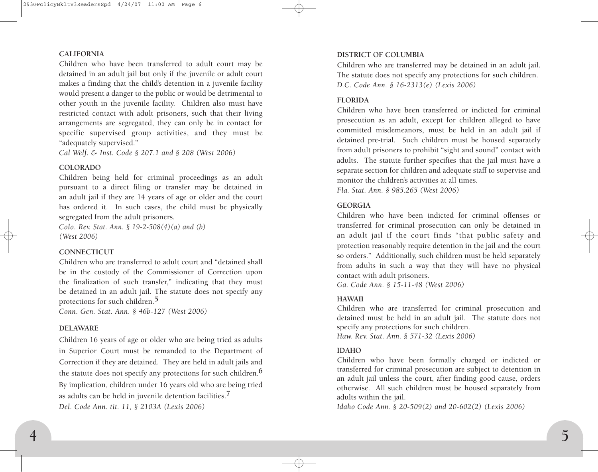#### **CALIFORNIA**

Children who have been transferred to adult court may be detained in an adult jail but only if the juvenile or adult court makes a finding that the child's detention in a juvenile facility would present a danger to the public or would be detrimental to other youth in the juvenile facility. Children also must have restricted contact with adult prisoners, such that their living arrangements are segregated, they can only be in contact for specific supervised group activities, and they must be "adequately supervised."

*Cal Welf. & Inst. Code § 207.1 and § 208 (West 2006)*

#### **COLORADO**

Children being held for criminal proceedings as an adult pursuant to a direct filing or transfer may be detained in an adult jail if they are 14 years of age or older and the court has ordered it. In such cases, the child must be physically segregated from the adult prisoners.

*Colo. Rev. Stat. Ann. § 19-2-508(4)(a) and (b) (West 2006)*

# **CONNECTICUT**

Children who are transferred to adult court and "detained shall be in the custody of the Commissioner of Correction upon the finalization of such transfer," indicating that they must be detained in an adult jail. The statute does not specify any protections for such children.**5**

*Conn. Gen. Stat. Ann. § 46b-127 (West 2006)*

### **DELAWARE**

Children 16 years of age or older who are being tried as adults in Superior Court must be remanded to the Department of Correction if they are detained. They are held in adult jails and the statute does not specify any protections for such children.**6** By implication, children under 16 years old who are being tried as adults can be held in juvenile detention facilities.**7** *Del. Code Ann. tit. 11, § 2103A (Lexis 2006)*

#### **DISTRICT OF COLUMBIA**

Children who are transferred may be detained in an adult jail. The statute does not specify any protections for such children. *D.C. Code Ann. § 16-2313(e) (Lexis 2006)*

## **FLORIDA**

Children who have been transferred or indicted for criminal prosecution as an adult, except for children alleged to have committed misdemeanors, must be held in an adult jail if detained pre-trial. Such children must be housed separately from adult prisoners to prohibit "sight and sound" contact with adults. The statute further specifies that the jail must have a separate section for children and adequate staff to supervise and monitor the children's activities at all times.

*Fla. Stat. Ann. § 985.265 (West 2006)*

# **GEORGIA**

Children who have been indicted for criminal offenses or transferred for criminal prosecution can only be detained in an adult jail if the court finds "that public safety and protection reasonably require detention in the jail and the court so orders." Additionally, such children must be held separately from adults in such a way that they will have no physical contact with adult prisoners.

*Ga. Code Ann. § 15-11-48 (West 2006)*

# **HAWAII**

Children who are transferred for criminal prosecution and detained must be held in an adult jail. The statute does not specify any protections for such children. *Haw. Rev. Stat. Ann. § 571-32 (Lexis 2006)*

#### **IDAHO**

Children who have been formally charged or indicted or transferred for criminal prosecution are subject to detention in an adult jail unless the court, after finding good cause, orders otherwise. All such children must be housed separately from adults within the jail.

*Idaho Code Ann. § 20-509(2) and 20-602(2) (Lexis 2006)*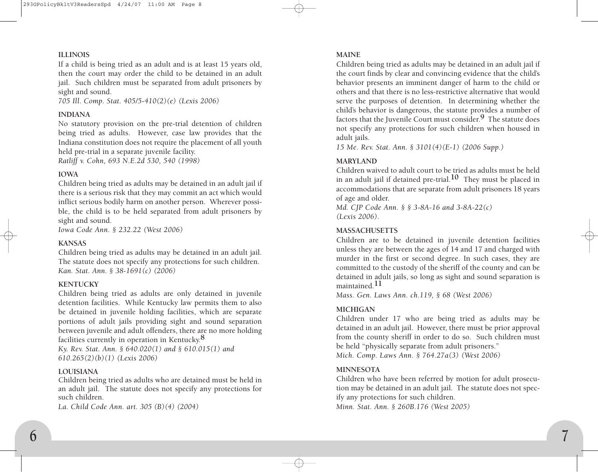## **ILLINOIS**

If a child is being tried as an adult and is at least 15 years old, then the court may order the child to be detained in an adult jail. Such children must be separated from adult prisoners by sight and sound.

*705 Ill. Comp. Stat. 405/5-410(2)(e) (Lexis 2006)*

#### **INDIANA**

No statutory provision on the pre-trial detention of children being tried as adults. However, case law provides that the Indiana constitution does not require the placement of all youth held pre-trial in a separate juvenile facility.

*Ratliff v. Cohn, 693 N.E.2d 530, 540 (1998)*

# **IOWA**

Children being tried as adults may be detained in an adult jail if there is a serious risk that they may commit an act which would inflict serious bodily harm on another person. Wherever possible, the child is to be held separated from adult prisoners by sight and sound.

*Iowa Code Ann. § 232.22 (West 2006)*

### **KANSAS**

Children being tried as adults may be detained in an adult jail. The statute does not specify any protections for such children. *Kan. Stat. Ann. § 38-1691(c) (2006)*

# **KENTUCKY**

Children being tried as adults are only detained in juvenile detention facilities. While Kentucky law permits them to also be detained in juvenile holding facilities, which are separate portions of adult jails providing sight and sound separation between juvenile and adult offenders, there are no more holding facilities currently in operation in Kentucky.**8**

*Ky. Rev. Stat. Ann. § 640.020(1) and § 610.015(1) and 610.265(2)(b)(1) (Lexis 2006)*

#### **LOUISIANA**

Children being tried as adults who are detained must be held in an adult jail. The statute does not specify any protections for such children.

*La. Child Code Ann. art. 305 (B)(4) (2004)*

#### **MAINE**

Children being tried as adults may be detained in an adult jail if the court finds by clear and convincing evidence that the child's behavior presents an imminent danger of harm to the child or others and that there is no less-restrictive alternative that would serve the purposes of detention. In determining whether the child's behavior is dangerous, the statute provides a number of factors that the Juvenile Court must consider.**9** The statute does not specify any protections for such children when housed in adult jails.

*15 Me. Rev. Stat. Ann. § 3101(4)(E-1) (2006 Supp.)*

# **MARYLAND**

Children waived to adult court to be tried as adults must be held in an adult jail if detained pre-trial.**10** They must be placed in accommodations that are separate from adult prisoners 18 years of age and older.

*Md. CJP Code Ann. § § 3-8A-16 and 3-8A-22(c) (Lexis 2006).*

# **MASSACHUSETTS**

Children are to be detained in juvenile detention facilities unless they are between the ages of 14 and 17 and charged with murder in the first or second degree. In such cases, they are committed to the custody of the sheriff of the county and can be detained in adult jails, so long as sight and sound separation is maintained.**11**

*Mass. Gen. Laws Ann. ch.119, § 68 (West 2006)*

# **MICHIGAN**

Children under 17 who are being tried as adults may be detained in an adult jail. However, there must be prior approval from the county sheriff in order to do so. Such children must be held "physically separate from adult prisoners." *Mich. Comp. Laws Ann. § 764.27a(3) (West 2006)*

#### **MINNESOTA**

Children who have been referred by motion for adult prosecution may be detained in an adult jail. The statute does not specify any protections for such children. *Minn. Stat. Ann. § 260B.176 (West 2005)*

**7**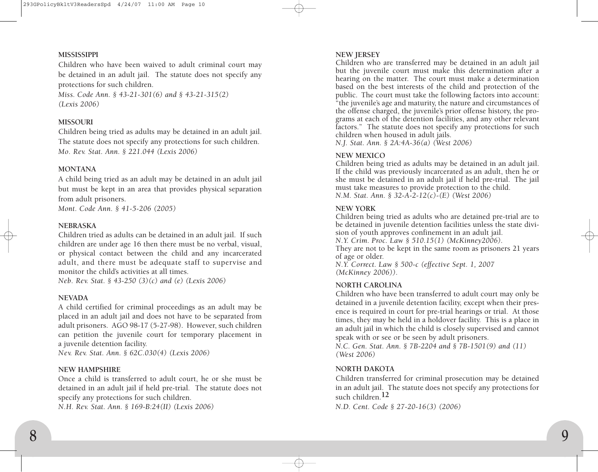#### **MISSISSIPPI**

Children who have been waived to adult criminal court may be detained in an adult jail. The statute does not specify any protections for such children.

*Miss. Code Ann. § 43-21-301(6) and § 43-21-315(2) (Lexis 2006)*

### **MISSOURI**

Children being tried as adults may be detained in an adult jail. The statute does not specify any protections for such children. *Mo. Rev. Stat. Ann. § 221.044 (Lexis 2006)*

# **MONTANA**

A child being tried as an adult may be detained in an adult jail but must be kept in an area that provides physical separation from adult prisoners.

*Mont. Code Ann. § 41-5-206 (2005)*

## **NEBRASKA**

Children tried as adults can be detained in an adult jail. If such children are under age 16 then there must be no verbal, visual, or physical contact between the child and any incarcerated adult, and there must be adequate staff to supervise and monitor the child's activities at all times.

*Neb. Rev. Stat. § 43-250 (3)(c) and (e) (Lexis 2006)*

#### **NEVADA**

A child certified for criminal proceedings as an adult may be placed in an adult jail and does not have to be separated from adult prisoners. AGO 98-17 (5-27-98). However, such children can petition the juvenile court for temporary placement in a juvenile detention facility.

*Nev. Rev. Stat. Ann. § 62C.030(4) (Lexis 2006)*

#### **NEW HAMPSHIRE**

Once a child is transferred to adult court, he or she must be detained in an adult jail if held pre-trial. The statute does not specify any protections for such children.

*N.H. Rev. Stat. Ann. § 169-B:24(II) (Lexis 2006)*

#### **NEW JERSEY**

Children who are transferred may be detained in an adult jail but the juvenile court must make this determination after a hearing on the matter. The court must make a determination based on the best interests of the child and protection of the public. The court must take the following factors into account: "the juvenile's age and maturity, the nature and circumstances of the offense charged, the juvenile's prior offense history, the programs at each of the detention facilities, and any other relevant factors." The statute does not specify any protections for such children when housed in adult jails.

*N.J. Stat. Ann. § 2A:4A-36(a) (West 2006)*

# **NEW MEXICO**

Children being tried as adults may be detained in an adult jail. If the child was previously incarcerated as an adult, then he or she must be detained in an adult jail if held pre-trial. The jail must take measures to provide protection to the child. *N.M. Stat. Ann. § 32-A-2-12(c)-(E) (West 2006)*

## **NEW YORK**

Children being tried as adults who are detained pre-trial are to be detained in juvenile detention facilities unless the state division of youth approves confinement in an adult jail. *N.Y. Crim. Proc. Law § 510.15(1) (McKinney2006).* 

They are not to be kept in the same room as prisoners 21 years of age or older.

*N.Y. Correct. Law § 500-c (effective Sept. 1, 2007 (McKinney 2006)).*

# **NORTH CAROLINA**

Children who have been transferred to adult court may only be detained in a juvenile detention facility, except when their presence is required in court for pre-trial hearings or trial. At those times, they may be held in a holdover facility. This is a place in an adult jail in which the child is closely supervised and cannot speak with or see or be seen by adult prisoners.

*N.C. Gen. Stat. Ann. § 7B-2204 and § 7B-1501(9) and (11) (West 2006)*

# **NORTH DAKOTA**

Children transferred for criminal prosecution may be detained in an adult jail. The statute does not specify any protections for such children.**12**

*N.D. Cent. Code § 27-20-16(3) (2006)*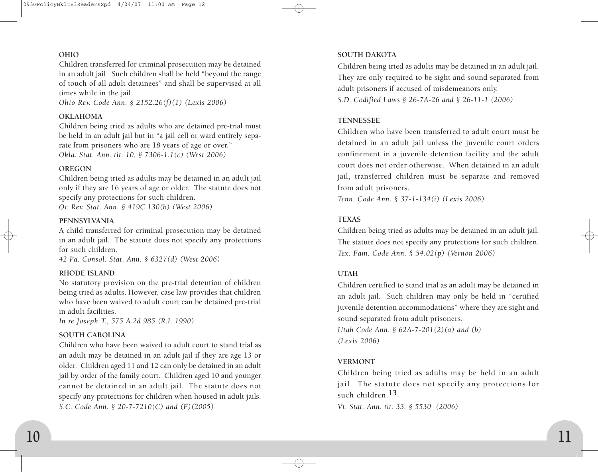# **OHIO**

Children transferred for criminal prosecution may be detained in an adult jail. Such children shall be held "beyond the range of touch of all adult detainees" and shall be supervised at all times while in the jail.

*Ohio Rev. Code Ann. § 2152.26(f)(1) (Lexis 2006)*

# **OKLAHOMA**

Children being tried as adults who are detained pre-trial must be held in an adult jail but in "a jail cell or ward entirely separate from prisoners who are 18 years of age or over." *Okla. Stat. Ann. tit. 10, § 7306-1.1(c) (West 2006)*

## **OREGON**

Children being tried as adults may be detained in an adult jail only if they are 16 years of age or older. The statute does not specify any protections for such children.

*Or. Rev. Stat. Ann. § 419C.130(b) (West 2006)*

# **PENNSYLVANIA**

A child transferred for criminal prosecution may be detained in an adult jail. The statute does not specify any protections for such children.

*42 Pa. Consol. Stat. Ann. § 6327(d) (West 2006)*

# **RHODE ISLAND**

No statutory provision on the pre-trial detention of children being tried as adults. However, case law provides that children who have been waived to adult court can be detained pre-trial in adult facilities.

*In re Joseph T., 575 A.2d 985 (R.I. 1990)*

# **SOUTH CAROLINA**

Children who have been waived to adult court to stand trial as an adult may be detained in an adult jail if they are age 13 or older. Children aged 11 and 12 can only be detained in an adult jail by order of the family court. Children aged 10 and younger cannot be detained in an adult jail. The statute does not specify any protections for children when housed in adult jails. *S.C. Code Ann. § 20-7-7210(C) and (F)(2005)*

# **SOUTH DAKOTA**

Children being tried as adults may be detained in an adult jail. They are only required to be sight and sound separated from adult prisoners if accused of misdemeanors only. *S.D. Codified Laws § 26-7A-26 and § 26-11-1 (2006)*

## **TENNESSEE**

Children who have been transferred to adult court must be detained in an adult jail unless the juvenile court orders confinement in a juvenile detention facility and the adult court does not order otherwise. When detained in an adult jail, transferred children must be separate and removed from adult prisoners.

*Tenn. Code Ann. § 37-1-134(i) (Lexis 2006)*

# **TEXAS**

Children being tried as adults may be detained in an adult jail. The statute does not specify any protections for such children. *Tex. Fam. Code Ann. § 54.02(p) (Vernon 2006)*

# **UTAH**

Children certified to stand trial as an adult may be detained in an adult jail. Such children may only be held in "certified juvenile detention accommodations" where they are sight and sound separated from adult prisoners.

*Utah Code Ann. § 62A-7-201(2)(a) and (b) (Lexis 2006)*

# **VERMONT**

Children being tried as adults may be held in an adult jail. The statute does not specify any protections for such children.**13**

*Vt. Stat. Ann. tit. 33, § 5530 (2006)*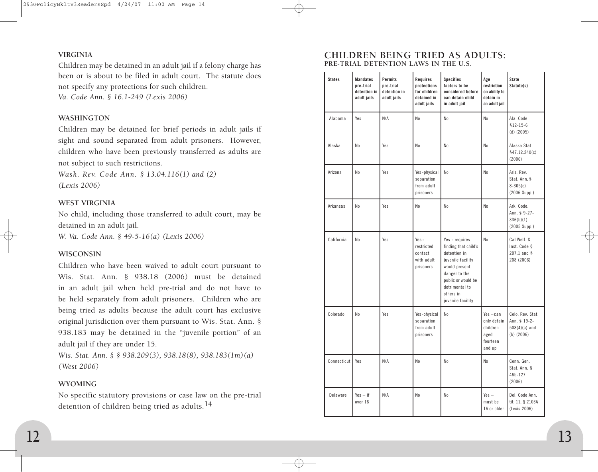# **VIRGINIA**

Children may be detained in an adult jail if a felony charge has been or is about to be filed in adult court. The statute does not specify any protections for such children. *Va. Code Ann. § 16.1-249 (Lexis 2006)*

#### **WASHINGTON**

Children may be detained for brief periods in adult jails if sight and sound separated from adult prisoners. However, children who have been previously transferred as adults are not subject to such restrictions.

*Wash. Rev. Code Ann. § 13.04.116(1) and (2) (Lexis 2006)*

# **WEST VIRGINIA**

No child, including those transferred to adult court, may be detained in an adult jail.

*W. Va. Code Ann. § 49-5-16(a) (Lexis 2006)*

### **WISCONSIN**

Children who have been waived to adult court pursuant to Wis. Stat. Ann. § 938.18 (2006) must be detained in an adult jail when held pre-trial and do not have to be held separately from adult prisoners. Children who are being tried as adults because the adult court has exclusive original jurisdiction over them pursuant to Wis. Stat. Ann. § 938.183 may be detained in the "juvenile portion" of an adult jail if they are under 15.

*Wis. Stat. Ann. § § 938.209(3), 938.18(8), 938.183(1m)(a) (West 2006)*

#### **WYOMING**

No specific statutory provisions or case law on the pre-trial detention of children being tried as adults.**14**

# **CHILDREN BEING TRIED AS ADULTS: PRE-TRIAL DETENTION LAWS IN THE U.S.**

| <b>States</b> | <b>Mandates</b><br>pre-trial<br>detention in<br>adult jails | Permits<br>pre-trial<br>detention in<br>adult jails | Requires<br>protections<br>for children<br>detained in<br>adult jails | <b>Specifies</b><br>factors to be<br>considered before<br>can detain child<br>in adult jail                                                                                             | Age<br>restriction<br>on ability to<br>detain in<br>an adult jail    | <b>State</b><br>Statute(s)                                          |
|---------------|-------------------------------------------------------------|-----------------------------------------------------|-----------------------------------------------------------------------|-----------------------------------------------------------------------------------------------------------------------------------------------------------------------------------------|----------------------------------------------------------------------|---------------------------------------------------------------------|
| Alabama       | Yes                                                         | N/A                                                 | No                                                                    | N <sub>0</sub>                                                                                                                                                                          | No                                                                   | Ala. Code<br>$$12-15-6$<br>$(d)$ (2005)                             |
| Alaska        | N <sub>0</sub>                                              | Yes                                                 | N <sub>0</sub>                                                        | No                                                                                                                                                                                      | No                                                                   | Alaska Stat<br>§47.12.240(c)<br>(2006)                              |
| Arizona       | N <sub>0</sub>                                              | Yes                                                 | Yes-physical<br>separation<br>from adult<br>prisoners                 | N <sub>0</sub>                                                                                                                                                                          | N <sub>0</sub>                                                       | Ariz. Rev.<br>Stat. Ann. §<br>$8-305(c)$<br>(2006 Supp.)            |
| Arkansas      | N <sub>0</sub>                                              | Yes                                                 | N <sub>0</sub>                                                        | N <sub>0</sub>                                                                                                                                                                          | No                                                                   | Ark. Code.<br>Ann. § 9-27-<br>336(b)(1)<br>(2005 Supp.)             |
| California    | N <sub>0</sub>                                              | Yes                                                 | Yes $-$<br>restricted<br>contact<br>with adult<br>prisoners           | Yes - requires<br>finding that child's<br>detention in<br>juvenile facility<br>would present<br>danger to the<br>public or would be<br>detrimental to<br>others in<br>juvenile facility | N <sub>0</sub>                                                       | Cal Welf. &<br>Inst. Code §<br>207.1 and $§$<br>208 (2006)          |
| Colorado      | No                                                          | Yes                                                 | Yes-physical<br>separation<br>from adult<br>prisoners                 | N <sub>0</sub>                                                                                                                                                                          | $Yes - can$<br>only detain<br>children<br>aged<br>fourteen<br>and up | Colo. Rev. Stat.<br>Ann. § 19-2-<br>$508(4)(a)$ and<br>$(b)$ (2006) |
| Connecticut   | Yes                                                         | N/A                                                 | N <sub>0</sub>                                                        | N <sub>0</sub>                                                                                                                                                                          | No                                                                   | Conn. Gen.<br>Stat. Ann. §<br>46b-127<br>(2006)                     |
| Delaware      | $Yes - if$<br>over 16                                       | N/A                                                 | No                                                                    | No                                                                                                                                                                                      | $Yes -$<br>must be<br>16 or older                                    | Del. Code Ann.<br>tit. 11, § 2103A<br>(Lexis 2006)                  |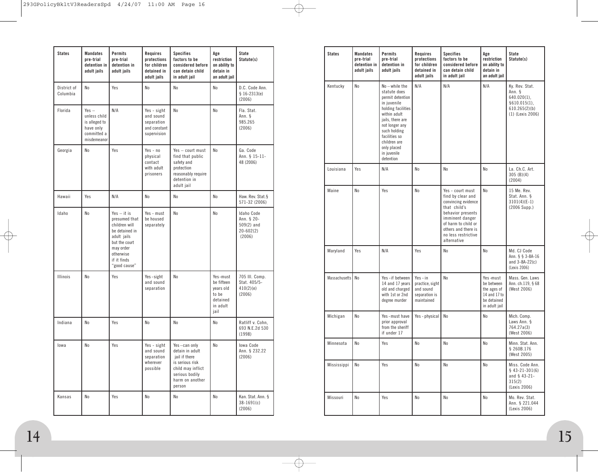| <b>States</b>           | <b>Mandates</b><br>pre-trial<br>detention in<br>adult jails                         | Permits<br>pre-trial<br>detention in<br>adult jails                                                                                                        | Requires<br>protections<br>for children<br>detained in<br>adult jails | <b>Specifies</b><br>factors to be<br>considered before<br>can detain child<br>in adult jail                                             | Age<br>restriction<br>on ability to<br>detain in<br>an adult jail            | <b>State</b><br>Statute(s)                                          |
|-------------------------|-------------------------------------------------------------------------------------|------------------------------------------------------------------------------------------------------------------------------------------------------------|-----------------------------------------------------------------------|-----------------------------------------------------------------------------------------------------------------------------------------|------------------------------------------------------------------------------|---------------------------------------------------------------------|
| District of<br>Columbia | No                                                                                  | Yes                                                                                                                                                        | No                                                                    | No                                                                                                                                      | No                                                                           | D.C. Code Ann.<br>$$16-2313(e)$<br>(2006)                           |
| Florida                 | $Yes -$<br>unless child<br>is alleged to<br>have only<br>committed a<br>misdemeanor | N/A                                                                                                                                                        | Yes - sight<br>and sound<br>separation<br>and constant<br>supervision | No                                                                                                                                      | N <sub>0</sub>                                                               | Fla. Stat.<br>Ann. §<br>985.265<br>(2006)                           |
| Georgia                 | N <sub>0</sub>                                                                      | Yes                                                                                                                                                        | $Yes - no$<br>physical<br>contact<br>with adult<br>prisoners          | Yes - court must<br>find that public<br>safety and<br>protection<br>reasonably require<br>detention in<br>adult jail                    | N <sub>0</sub>                                                               | Ga. Code<br>Ann. § 15-11-<br>48 (2006)                              |
| Hawaii                  | Yes                                                                                 | N/A                                                                                                                                                        | No                                                                    | No                                                                                                                                      | N <sub>0</sub>                                                               | Haw. Rev. Stat. §<br>571-32 (2006)                                  |
| Idaho                   | No                                                                                  | $Yes - it is$<br>presumed that<br>children will<br>be detained in<br>adult jails<br>but the court<br>may order<br>otherwise<br>if it finds<br>"good cause" | Yes - must<br>be housed<br>separately                                 | No                                                                                                                                      | N <sub>0</sub>                                                               | Idaho Code<br>Ann. § 20-<br>$509(2)$ and<br>$20 - 602(2)$<br>(2006) |
| <b>Illinois</b>         | No                                                                                  | Yes                                                                                                                                                        | Yes-sight<br>and sound<br>separation                                  | No                                                                                                                                      | Yes-must<br>be fifteen<br>years old<br>to be<br>detained<br>in adult<br>jail | 705 III. Comp.<br>Stat. 405/5-<br>410(2)(e)<br>(2006)               |
| Indiana                 | No                                                                                  | Yes                                                                                                                                                        | No                                                                    | No                                                                                                                                      | No                                                                           | Ratliff v. Cohn,<br>693 N.E.2d 530<br>(1998)                        |
| lowa                    | No                                                                                  | Yes                                                                                                                                                        | Yes - sight<br>and sound<br>separation<br>wherever<br>possible        | Yes-can only<br>detain in adult<br>jail if there<br>is serious risk<br>child may inflict<br>serious bodily<br>harm on another<br>person | No                                                                           | lowa Code<br>Ann. § 232.22<br>(2006)                                |
| Kansas                  | No                                                                                  | Yes                                                                                                                                                        | No                                                                    | No                                                                                                                                      | No                                                                           | Kan. Stat. Ann. §<br>$38-1691(c)$<br>(2006)                         |

| <b>States</b> | <b>Mandates</b><br>pre-trial<br>detention in<br>adult jails | Permits<br>pre-trial<br>detention in<br>adult jails                                                                                                                                                                                     | Requires<br>protections<br>for children<br>detained in<br>adult jails   | <b>Specifies</b><br>factors to be<br>considered before<br>can detain child<br>in adult jail                                                                                                              | Age<br>restriction<br>on ability to<br>detain in<br>an adult jail                     | State<br>Statute(s)                                                                              |
|---------------|-------------------------------------------------------------|-----------------------------------------------------------------------------------------------------------------------------------------------------------------------------------------------------------------------------------------|-------------------------------------------------------------------------|----------------------------------------------------------------------------------------------------------------------------------------------------------------------------------------------------------|---------------------------------------------------------------------------------------|--------------------------------------------------------------------------------------------------|
| Kentucky      | No                                                          | No-while the<br>statute does<br>permit detention<br>in juvenile<br>holding facilities<br>within adult<br>jails, there are<br>not longer any<br>such holding<br>facilities so<br>children are<br>only placed<br>in juvenile<br>detention | N/A                                                                     | N/A                                                                                                                                                                                                      | N/A                                                                                   | Ky. Rev. Stat.<br>Ann. §<br>$640.020(1)$ ,<br>\$610.015(1),<br>610.265(2)(b)<br>(1) (Lexis 2006) |
| Louisiana     | Yes                                                         | N/A                                                                                                                                                                                                                                     | No                                                                      | N <sub>0</sub>                                                                                                                                                                                           | No                                                                                    | La. Ch.C. Art.<br>305(B)(4)<br>(2004)                                                            |
| Maine         | No                                                          | Yes                                                                                                                                                                                                                                     | No                                                                      | Yes - court must<br>find by clear and<br>convincing evidence<br>that child's<br>behavior presents<br>imminent danger<br>of harm to child or<br>others and there is<br>no less restrictive<br>alternative | No                                                                                    | 15 Me. Rev.<br>Stat. Ann. §<br>$3101(4)(E-1)$<br>(2006 Supp.)                                    |
| Maryland      | Yes                                                         | N/A                                                                                                                                                                                                                                     | Yes                                                                     | No                                                                                                                                                                                                       | No                                                                                    | Md. CJ Code<br>Ann. § § 3-8A-16<br>and $3-8A-22(c)$<br>(Lexis 2006)                              |
| Massachusetts | N <sub>0</sub>                                              | Yes-if between<br>14 and 17 years<br>old and charged<br>with 1st or 2nd<br>degree murder                                                                                                                                                | Yes - in<br>practice, sight<br>and sound<br>separation is<br>maintained | N <sub>0</sub>                                                                                                                                                                                           | Yes-must<br>be between<br>the ages of<br>14 and 17 to<br>be detained<br>in adult jail | Mass. Gen. Laws<br>Ann. ch.119, § 68<br>(West 2006)                                              |
| Michigan      | No                                                          | Yes-must have<br>prior approval<br>from the sheriff<br>if under 17                                                                                                                                                                      | Yes - physical                                                          | No                                                                                                                                                                                                       | No                                                                                    | Mich. Comp.<br>Laws Ann. §<br>764.27a(3)<br>(West 2006)                                          |
| Minnesota     | No                                                          | Yes                                                                                                                                                                                                                                     | No                                                                      | No                                                                                                                                                                                                       | No                                                                                    | Minn. Stat. Ann.<br>§ 260B.176<br>(West 2005)                                                    |
| Mississippi   | No                                                          | Yes                                                                                                                                                                                                                                     | No                                                                      | No                                                                                                                                                                                                       | No                                                                                    | Miss. Code Ann.<br>$$43-21-301(6)$<br>and $§$ 43-21-<br>315(2)<br>(Lexis 2006)                   |
| Missouri      | No                                                          | Yes                                                                                                                                                                                                                                     | No                                                                      | No                                                                                                                                                                                                       | No                                                                                    | Mo. Rev. Stat.<br>Ann. § 221.044<br>(Lexis 2006)                                                 |

 $\oplus$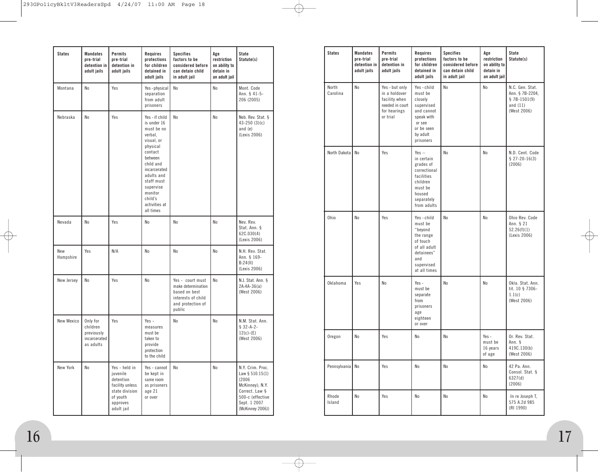| <b>States</b>    | <b>Mandates</b><br>pre-trial<br>detention in<br>adult jails     | Permits<br>pre-trial<br>detention in<br>adult jails                                                               | Requires<br>protections<br>for children<br>detained in<br>adult jails                                                                                                                                                            | <b>Specifies</b><br>factors to be<br>considered before<br>can detain child<br>in adult jail                  | Age<br>restriction<br>on ability to<br>detain in<br>an adult jail | State<br>Statute(s)                                                                                                                        |
|------------------|-----------------------------------------------------------------|-------------------------------------------------------------------------------------------------------------------|----------------------------------------------------------------------------------------------------------------------------------------------------------------------------------------------------------------------------------|--------------------------------------------------------------------------------------------------------------|-------------------------------------------------------------------|--------------------------------------------------------------------------------------------------------------------------------------------|
| Montana          | No                                                              | Yes                                                                                                               | Yes-physical<br>separation<br>from adult<br>prisoners                                                                                                                                                                            | No                                                                                                           | No                                                                | Mont, Code<br>Ann. § 41-5-<br>206 (2005)                                                                                                   |
| Nebraska         | No                                                              | Yes                                                                                                               | Yes - if child<br>is under 16<br>must be no<br>verbal,<br>visual, or<br>physical<br>contact<br>between<br>child and<br>incarcerated<br>adults and<br>staff must<br>supervise<br>monitor<br>child's<br>activities at<br>all times | No                                                                                                           | No                                                                | Neb. Rev. Stat. §<br>$43 - 250$ (3)(c)<br>and $(e)$<br>(Lexis 2006)                                                                        |
| Nevada           | No                                                              | Yes                                                                                                               | No                                                                                                                                                                                                                               | No                                                                                                           | No                                                                | Nev. Rev.<br>Stat. Ann. §<br>62C.030(4)<br>(Lexis 2006)                                                                                    |
| New<br>Hampshire | Yes                                                             | N/A                                                                                                               | No                                                                                                                                                                                                                               | No                                                                                                           | No                                                                | N.H. Rev. Stat.<br>Ann. § 169-<br>B:24(11)<br>(Lexis 2006)                                                                                 |
| New Jersey       | No                                                              | Yes                                                                                                               | No                                                                                                                                                                                                                               | Yes - court must<br>make determination<br>based on best<br>interests of child<br>and protection of<br>public | No                                                                | N.J. Stat. Ann. §<br>$2A:4A-36(a)$<br>(West 2006)                                                                                          |
| New Mexico       | Only for<br>children<br>previously<br>incarcerated<br>as adults | Yes                                                                                                               | $Yes -$<br>measures<br>must be<br>taken to<br>provide<br>protection<br>to the child                                                                                                                                              | No                                                                                                           | N <sub>0</sub>                                                    | N.M. Stat. Ann.<br>$$32-A-2-$<br>$12(c)-(E)$<br>(West 2006)                                                                                |
| New York         | No                                                              | Yes - held in<br>juvenile<br>detention<br>facility unless<br>state division<br>of youth<br>approves<br>adult jail | Yes - cannot<br>be kept in<br>same room<br>as prisoners<br>age 21<br>or over                                                                                                                                                     | No                                                                                                           | No                                                                | N.Y. Crim. Proc.<br>Law § 510.15(1)<br>(2006)<br>McKinney); N.Y.<br>Correct. Law §<br>500-c (effective<br>Sept. 1 2007<br>(McKinney 2006)) |

| <b>States</b>     | Mandates<br>pre-trial<br>detention in<br>adult jails | Permits<br>pre-trial<br>detention in<br>adult jails                                             | Requires<br>protections<br>for children<br>detained in<br>adult jails                                                          | <b>Specifies</b><br>factors to be<br>considered before<br>can detain child<br>in adult jail | Age<br>restriction<br>on ability to<br>detain in<br>an adult jail | State<br>Statute(s)                                                              |
|-------------------|------------------------------------------------------|-------------------------------------------------------------------------------------------------|--------------------------------------------------------------------------------------------------------------------------------|---------------------------------------------------------------------------------------------|-------------------------------------------------------------------|----------------------------------------------------------------------------------|
| North<br>Carolina | No                                                   | Yes - but only<br>in a holdover<br>facility when<br>needed in court<br>for hearings<br>or trial | Yes-child<br>must be<br>closely<br>supervised<br>and cannot<br>speak with<br>or see<br>or be seen<br>by adult<br>prisoners     | No                                                                                          | No                                                                | N.C. Gen. Stat.<br>Ann. § 7B-2204.<br>$$7B-1501(9)$<br>and $(11)$<br>(West 2006) |
| North Dakota      | No                                                   | Yes                                                                                             | $Yes -$<br>in certain<br>grades of<br>correctional<br>facilities<br>children<br>must be<br>housed<br>separately<br>from adults | N <sub>0</sub>                                                                              | N <sub>0</sub>                                                    | N.D. Cent. Code<br>$$27-20-16(3)$<br>(2006)                                      |
| Ohio              | No                                                   | Yes                                                                                             | Yes-child<br>must be<br>"beyond<br>the range<br>of touch<br>of all adult<br>detainees"<br>and<br>supervised<br>at all times    | N <sub>0</sub>                                                                              | No                                                                | Ohio Rev. Code<br>Ann. § 21<br>52.26(f)(1)<br>(Lexis 2006)                       |
| Oklahoma          | Yes                                                  | No                                                                                              | $Yes -$<br>must be<br>separate<br>from<br>prisoners<br>age<br>eighteen<br>or over                                              | No                                                                                          | No                                                                | Okla. Stat. Ann.<br>tit. 10 § 7306-<br>1.1(c)<br>(West 2006)                     |
| Oregon            | No                                                   | Yes                                                                                             | No                                                                                                                             | No                                                                                          | Yes $-$<br>must be<br>16 years<br>of age                          | Or. Rev. Stat.<br>Ann. §<br>419C.130(b)<br>(West 2006)                           |
| Pennsylvania No   |                                                      | Yes                                                                                             | No                                                                                                                             | No                                                                                          | No                                                                | 42 Pa. Ann.<br>Consol. Stat. §<br>6327(d)<br>(2006)                              |
| Rhode<br>Island   | No                                                   | Yes                                                                                             | No                                                                                                                             | No                                                                                          | No                                                                | In re Joseph T,<br>575 A.2d 985<br>(RI 1990)                                     |

 $\oplus$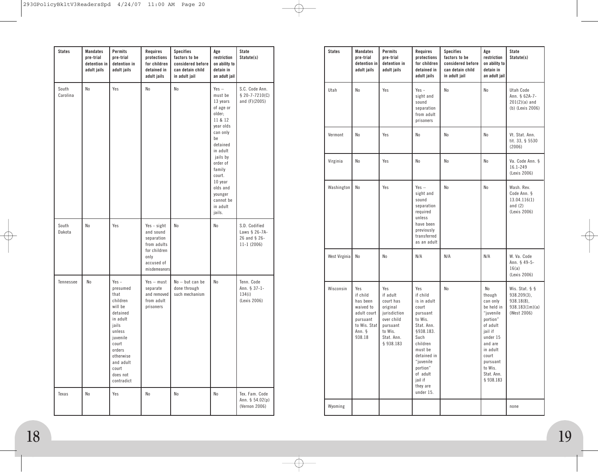| <b>States</b>     | <b>Mandates</b><br>pre-trial<br>detention in<br>adult jails | Permits<br>pre-trial<br>detention in<br>adult jails                                                                                                                                       | Requires<br>protections<br>for children<br>detained in<br>adult jails                                       | <b>Specifies</b><br>factors to be<br>considered before<br>can detain child<br>in adult jail | Age<br>restriction<br>on ability to<br>detain in<br>an adult jail                                                                                                                                                                        | State<br>Statute(s)                                            |
|-------------------|-------------------------------------------------------------|-------------------------------------------------------------------------------------------------------------------------------------------------------------------------------------------|-------------------------------------------------------------------------------------------------------------|---------------------------------------------------------------------------------------------|------------------------------------------------------------------------------------------------------------------------------------------------------------------------------------------------------------------------------------------|----------------------------------------------------------------|
| South<br>Carolina | No                                                          | Yes                                                                                                                                                                                       | No                                                                                                          | N <sub>0</sub>                                                                              | $Yes -$<br>must be<br>13 years<br>of age or<br>older;<br>11 & 12<br>year olds<br>can only<br>be<br>detained<br>in adult<br>jails by<br>order of<br>family<br>court.<br>10 year<br>olds and<br>younger<br>cannot be<br>in adult<br>jails. | S.C. Code Ann.<br>$$20-7-7210(C)$<br>and (F)(2005)             |
| South<br>Dakota   | No                                                          | Yes                                                                                                                                                                                       | Yes - sight<br>and sound<br>separation<br>from adults<br>for children<br>only<br>accused of<br>misdemeanors | No                                                                                          | N <sub>0</sub>                                                                                                                                                                                                                           | S.D. Codified<br>Laws § 26-7A-<br>26 and § 26-<br>$11-1(2006)$ |
| Tennessee         | No                                                          | $Yes -$<br>presumed<br>that<br>children<br>will be<br>detained<br>in adult<br>jails<br>unless<br>juvenile<br>court<br>orders<br>otherwise<br>and adult<br>court<br>does not<br>contradict | $Yes - must$<br>separate<br>and removed<br>from adult<br>prisoners                                          | No - but can be<br>done through<br>such mechanism                                           | No                                                                                                                                                                                                                                       | Tenn. Code<br>Ann. § 37-1-<br>134(i)<br>(Lexis 2006)           |
| Texas             | No                                                          | Yes                                                                                                                                                                                       | No                                                                                                          | No                                                                                          | No                                                                                                                                                                                                                                       | Tex. Fam. Code<br>Ann. $$54.02(p)$<br>(Vernon 2006)            |

| <b>States</b> | <b>Mandates</b><br>pre-trial<br>detention in<br>adult jails                                             | Permits<br>pre-trial<br>detention in<br>adult jails                                                                      | Requires<br>protections<br>for children<br>detained in<br>adult jails                                                                                                                                            | <b>Specifies</b><br>factors to be<br>considered before<br>can detain child<br>in adult jail | Age<br>restriction<br>on ability to<br>detain in<br>an adult jail                                                                                                                    | <b>State</b><br>Statute(s)                                                               |
|---------------|---------------------------------------------------------------------------------------------------------|--------------------------------------------------------------------------------------------------------------------------|------------------------------------------------------------------------------------------------------------------------------------------------------------------------------------------------------------------|---------------------------------------------------------------------------------------------|--------------------------------------------------------------------------------------------------------------------------------------------------------------------------------------|------------------------------------------------------------------------------------------|
| Utah          | No                                                                                                      | Yes                                                                                                                      | $Yes -$<br>sight and<br>sound<br>separation<br>from adult<br>prisoners                                                                                                                                           | No                                                                                          | No                                                                                                                                                                                   | Utah Code<br>Ann. § 62A-7-<br>$201(2)(a)$ and<br>(b) (Lexis 2006)                        |
| Vermont       | <b>No</b>                                                                                               | Yes                                                                                                                      | No                                                                                                                                                                                                               | No                                                                                          | No                                                                                                                                                                                   | Vt. Stat. Ann.<br>tit. 33, § 5530<br>(2006)                                              |
| Virginia      | No                                                                                                      | Yes                                                                                                                      | No                                                                                                                                                                                                               | No                                                                                          | No                                                                                                                                                                                   | Va. Code Ann. §<br>16.1-249<br>(Lexis 2006)                                              |
| Washington    | N <sub>0</sub>                                                                                          | Yes                                                                                                                      | $Yes -$<br>sight and<br>sound<br>separation<br>required<br>unless<br>have been<br>previously<br>transferred<br>as an adult                                                                                       | No                                                                                          | No                                                                                                                                                                                   | Wash. Rev.<br>Code Ann. §<br>13.04.116(1)<br>and $(2)$<br>(Lexis 2006)                   |
| West Virginia | No                                                                                                      | No                                                                                                                       | N/A                                                                                                                                                                                                              | N/A                                                                                         | N/A                                                                                                                                                                                  | W. Va. Code<br>Ann. § 49-5-<br>16(a)<br>(Lexis 2006)                                     |
| Wisconsin     | Yes<br>if child<br>has been<br>waived to<br>adult court<br>pursuant<br>to Wis. Stat<br>Ann. §<br>938.18 | Yes<br>if adult<br>court has<br>original<br>jurisdiction<br>over child<br>pursuant<br>to Wis.<br>Stat. Ann.<br>§ 938.183 | Yes<br>if child<br>is in adult<br>court<br>pursuant<br>to Wis.<br>Stat. Ann.<br>§938.183.<br>Such<br>children<br>must be<br>detained in<br>"juvenile<br>portion"<br>of adult<br>jail if<br>they are<br>under 15. | No                                                                                          | No<br>though<br>can only<br>be held in<br>"juvenile<br>portion"<br>of adult<br>jail if<br>under 15<br>and are<br>in adult<br>court<br>pursuant<br>to Wis.<br>Stat. Ann.<br>§ 938.183 | Wis. Stat. $\S$ $\S$<br>$938.209(3)$ ,<br>$938.18(8)$ ,<br>938.183(1m)(a)<br>(West 2006) |
| Wyoming       |                                                                                                         |                                                                                                                          |                                                                                                                                                                                                                  |                                                                                             |                                                                                                                                                                                      | none                                                                                     |

∕↑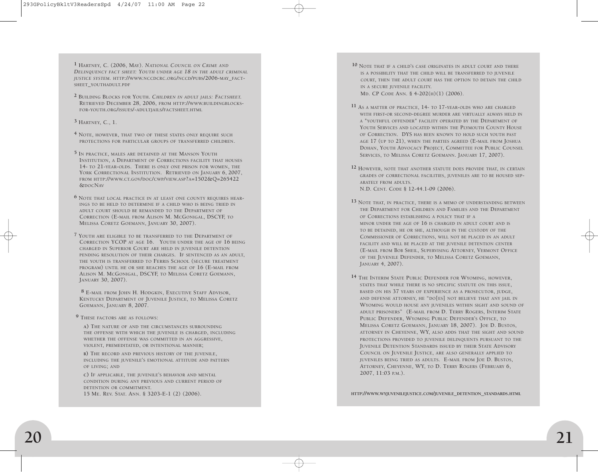**1** HARTNEY, C. (2006, MAY). *NATIONAL COUNCIL ON CRIME AND DELINQUENCY FACT SHEET: YOUTH UNDER AGE 18 IN THE ADULT CRIMINAL JUSTICE SYSTEM.* HTTP://WWW.NCCDCRC.ORG/NCCD/PUBS/2006-MAY\_FACT-SHEET\_YOUTHADULT.PDF

- **2** BUILDING BLOCKS FOR YOUTH. *CHILDREN IN ADULT JAILS: FACTSHEET.* RETRIEVED DECEMBER 28, 2006, FROM HTTP://WWW.BUILDINGBLOCKS-FOR-YOUTH.ORG/ISSUES/-ADULTJAILS/FACTSHEET.HTML
- **3** HARTNEY, C., 1.
- **4** NOTE, HOWEVER, THAT TWO OF THESE STATES ONLY REQUIRE SUCH PROTECTIONS FOR PARTICULAR GROUPS OF TRANSFERRED CHILDREN.
- **5** IN PRACTICE, MALES ARE DETAINED AT THE MANSON YOUTH INSTITUTION, A DEPARTMENT OF CORRECTIONS FACILITY THAT HOUSES 14- TO 21-YEAR-OLDS. THERE IS ONLY ONE PRISON FOR WOMEN, THE YORK CORRECTIONAL INSTITUTION. RETRIEVED ON JANUARY 6, 2007, FROM HTTP://WWW.CT.GOV/DOC/CWP/VIEW.ASP?A=1502&Q=265422 &DOCNAV
- **6** NOTE THAT LOCAL PRACTICE IN AT LEAST ONE COUNTY REQUIRES HEAR-INGS TO BE HELD TO DETERMINE IF A CHILD WHO IS BEING TRIED IN ADULT COURT SHOULD BE REMANDED TO THE DEPARTMENT OF CORRECTION (E-MAIL FROM ALISON M. MCGONIGAL, DSCYF, TO MELISSA CORETZ GOEMANN, JANUARY 30, 2007).
- **7** YOUTH ARE ELIGIBLE TO BE TRANSFERRED TO THE DEPARTMENT OF CORRECTION YCOP AT AGE 16. YOUTH UNDER THE AGE OF 16 BEING CHARGED IN SUPERIOR COURT ARE HELD IN JUVENILE DETENTION PENDING RESOLUTION OF THEIR CHARGES. IF SENTENCED AS AN ADULT, THE YOUTH IS TRANSFERRED TO FERRIS SCHOOL (SECURE TREATMENT PROGRAM) UNTIL HE OR SHE REACHES THE AGE OF 16 (E-MAIL FROM ALISON M. MCGONIGAL, DSCYF, TO MELISSA CORETZ GOEMANN, JANUARY 30, 2007).
- **8** E-MAIL FROM JOHN H. HODGKIN, EXECUTIVE STAFF ADVISOR, KENTUCKY DEPARTMENT OF JUVENILE JUSTICE, TO MELISSA CORETZ GOEMANN, JANUARY 8, 2007.
- **9** THESE FACTORS ARE AS FOLLOWS:
	- **A)** THE NATURE OF AND THE CIRCUMSTANCES SURROUNDING THE OFFENSE WITH WHICH THE JUVENILE IS CHARGED, INCLUDING WHETHER THE OFFENSE WAS COMMITTED IN AN AGGRESSIVE, VIOLENT, PREMEDITATED, OR INTENTIONAL MANNER;
	- **B)** THE RECORD AND PREVIOUS HISTORY OF THE JUVENILE, INCLUDING THE JUVENILE'S EMOTIONAL ATTITUDE AND PATTERN OF LIVING; AND
	- **C)** IF APPLICABLE, THE JUVENILE'S BEHAVIOR AND MENTAL CONDITION DURING ANY PREVIOUS AND CURRENT PERIOD OF DETENTION OR COMMITMENT. 15 ME. REV. STAT. ANN. § 3203-E-1 (2) (2006).
- **10** NOTE THAT IF A CHILD'S CASE ORIGINATES IN ADULT COURT AND THERE IS A POSSIBILITY THAT THE CHILD WILL BE TRANSFERRED TO JUVENILE COURT, THEN THE ADULT COURT HAS THE OPTION TO DETAIN THE CHILD IN A SECURE JUVENILE FACILITY. MD. CP CODE ANN. § 4-202(H)(1) (2006).
- **11** AS A MATTER OF PRACTICE, 14- TO 17-YEAR-OLDS WHO ARE CHARGED WITH FIRST-OR SECOND-DEGREE MURDER ARE VIRTUALLY ALWAYS HELD IN A "YOUTHFUL OFFENDER" FACILITY OPERATED BY THE DEPARTMENT OF YOUTH SERVICES AND LOCATED WITHIN THE PLYMOUTH COUNTY HOUSE OF CORRECTION. DYS HAS BEEN KNOWN TO HOLD SUCH YOUTH PAST AGE 17 (UP TO 21), WHEN THE PARTIES AGREED (E-MAIL FROM JOSHUA DOHAN, YOUTH ADVOCACY PROJECT, COMMITTEE FOR PUBLIC COUNSEL SERVICES, TO MELISSA CORETZ GOEMANN. JANUARY 17, 2007).
- **12** HOWEVER, NOTE THAT ANOTHER STATUTE DOES PROVIDE THAT, IN CERTAIN GRADES OF CORRECTIONAL FACILITIES, JUVENILES ARE TO BE HOUSED SEP-ARATELY FROM ADULTS. N.D. CENT. CODE § 12-44.1-09 (2006).
- **13** NOTE THAT, IN PRACTICE, THERE IS <sup>A</sup> MEMO OF UNDERSTANDING BETWEEN THE DEPARTMENT FOR CHILDREN AND FAMILIES AND THE DEPARTMENT OF CORRECTIONS ESTABLISHING A POLICY THAT IF A MINOR UNDER THE AGE OF 16 IS CHARGED IN ADULT COURT AND IS TO BE DETAINED, HE OR SHE, ALTHOUGH IN THE CUSTODY OF THE COMMISSIONER OF CORRECTIONS, WILL NOT BE PLACED IN AN ADULT FACILITY AND WILL BE PLACED AT THE JUVENILE DETENTION CENTER (E-MAIL FROM BOB SHEIL, SUPERVISING ATTORNEY, VERMONT OFFICE OF THE JUVENILE DEFENDER, TO MELISSA CORETZ GOEMANN, JANUARY 4, 2007).
- **14** THE INTERIM STATE PUBLIC DEFENDER FOR WYOMING, HOWEVER, STATES THAT WHILE THERE IS NO SPECIFIC STATUTE ON THIS ISSUE, BASED ON HIS 37 YEARS OF EXPERIENCE AS A PROSECUTOR, JUDGE, AND DEFENSE ATTORNEY, HE "DO[ES] NOT BELIEVE THAT ANY JAIL IN WYOMING WOULD HOUSE ANY JUVENILES WITHIN SIGHT AND SOUND OF ADULT PRISONERS" (E-MAIL FROM D. TERRY ROGERS, INTERIM STATE PUBLIC DEFENDER, WYOMING PUBLIC DEFENDER'S OFFICE, TO MELISSA CORETZ GOEMANN, JANUARY 18, 2007). JOE D. BUSTOS, ATTORNEY IN CHEYENNE, WY, ALSO ADDS THAT THE SIGHT AND SOUND PROTECTIONS PROVIDED TO JUVENILE DELINQUENTS PURSUANT TO THE JUVENILE DETENTION STANDARDS ISSUED BY THEIR STATE ADVISORY COUNCIL ON JUVENILE JUSTICE, ARE ALSO GENERALLY APPLIED TO JUVENILES BEING TRIED AS ADULTS. E-MAIL FROM JOE D. BUSTOS, ATTORNEY, CHEYENNE, WY, TO D. TERRY ROGERS (FEBRUARY 6, 2007, 11:03 P.M.).

**HTTP://WWW.WYJUVENILEJUSTICE.COM/JUVENILE\_DETENTION\_STANDARDS.HTML**